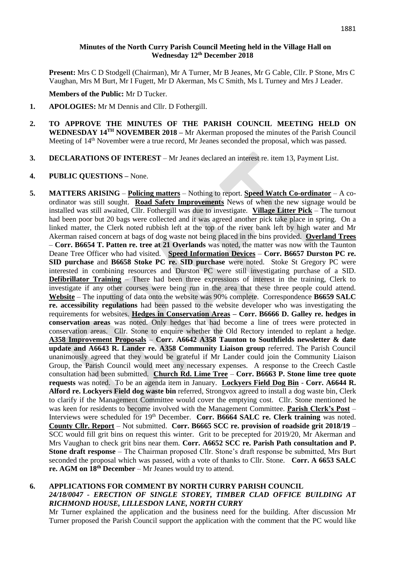### 1881

# **Minutes of the North Curry Parish Council Meeting held in the Village Hall on Wednesday 12 th December 2018**

**Present:** Mrs C D Stodgell (Chairman), Mr A Turner, Mr B Jeanes, Mr G Cable, Cllr. P Stone, Mrs C Vaughan, Mrs M Burt, Mr I Fugett, Mr D Akerman, Ms C Smith, Ms L Turney and Mrs J Leader.

#### **Members of the Public:** Mr D Tucker.

- **1. APOLOGIES:** Mr M Dennis and Cllr. D Fothergill.
- **2. TO APPROVE THE MINUTES OF THE PARISH COUNCIL MEETING HELD ON WEDNESDAY 14 TH NOVEMBER 2018 –** Mr Akerman proposed the minutes of the Parish Council Meeting of 14<sup>th</sup> November were a true record, Mr Jeanes seconded the proposal, which was passed.
- **3. DECLARATIONS OF INTEREST** Mr Jeanes declared an interest re. item 13, Payment List.

## **4. PUBLIC QUESTIONS –** None.

**5. MATTERS ARISING** – **Policing matters** – Nothing to report. **Speed Watch Co-ordinator** – A coordinator was still sought. **Road Safety Improvements** News of when the new signage would be installed was still awaited, Cllr. Fothergill was due to investigate. **Village Litter Pick** – The turnout had been poor but 20 bags were collected and it was agreed another pick take place in spring. On a linked matter, the Clerk noted rubbish left at the top of the river bank left by high water and Mr Akerman raised concern at bags of dog waste not being placed in the bins provided. **Overland Trees** – **Corr. B6654 T. Patten re. tree at 21 Overlands** was noted, the matter was now with the Taunton Deane Tree Officer who had visited. **Speed Information Devices** – **Corr. B6657 Durston PC re. SID purchase** and **B6658 Stoke PC re. SID purchase** were noted. Stoke St Gregory PC were interested in combining resources and Durston PC were still investigating purchase of a SID. **Defibrillator Training** – There had been three expressions of interest in the training, Clerk to investigate if any other courses were being run in the area that these three people could attend. **Website** – The inputting of data onto the website was 90% complete. Correspondence **B6659 SALC re. accessibility regulations** had been passed to the website developer who was investigating the requirements for websites. **Hedges in Conservation Areas – Corr. B6666 D. Galley re. hedges in conservation areas** was noted. Only hedges that had become a line of trees were protected in conservation areas. Cllr. Stone to enquire whether the Old Rectory intended to replant a hedge. **A358 Improvement Proposals** – **Corr. A6642 A358 Taunton to Southfields newsletter & date update and A6643 R. Lander re. A358 Community Liaison group** referred. The Parish Council unanimously agreed that they would be grateful if Mr Lander could join the Community Liaison Group, the Parish Council would meet any necessary expenses. A response to the Creech Castle consultation had been submitted. **Church Rd. Lime Tree** – **Corr. B6663 P. Stone lime tree quote requests** was noted. To be an agenda item in January. **Lockyers Field Dog Bin** - **Corr. A6644 R. Alford re. Lockyers Field dog waste bin** referred, Strongvox agreed to install a dog waste bin, Clerk to clarify if the Management Committee would cover the emptying cost. Cllr. Stone mentioned he was keen for residents to become involved with the Management Committee. **Parish Clerk's Post** – Interviews were scheduled for 19<sup>th</sup> December. **Corr. B6664 SALC re. Clerk training** was noted. **County Cllr. Report** – Not submitted. **Corr. B6665 SCC re. provision of roadside grit 2018/19** – SCC would fill grit bins on request this winter. Grit to be precepted for 2019/20, Mr Akerman and Mrs Vaughan to check grit bins near them. **Corr. A6652 SCC re. Parish Path consultation and P. Stone draft response** – The Chairman proposed Cllr. Stone's draft response be submitted, Mrs Burt seconded the proposal which was passed, with a vote of thanks to Cllr. Stone. **Corr. A 6653 SALC re. AGM on 18th December** – Mr Jeanes would try to attend.

# **6. APPLICATIONS FOR COMMENT BY NORTH CURRY PARISH COUNCIL** *24/18/0047 - ERECTION OF SINGLE STOREY, TIMBER CLAD OFFICE BUILDING AT RICHMOND HOUSE, LILLESDON LANE, NORTH CURRY*

Mr Turner explained the application and the business need for the building. After discussion Mr Turner proposed the Parish Council support the application with the comment that the PC would like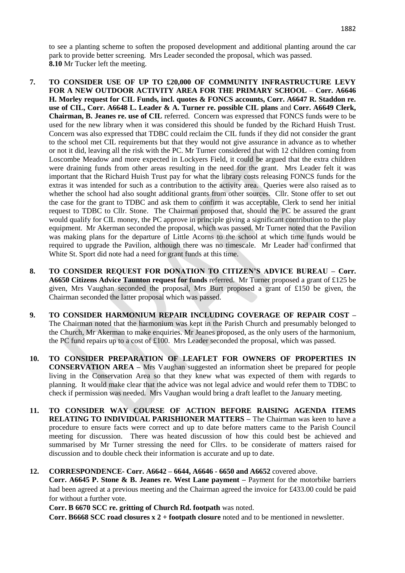to see a planting scheme to soften the proposed development and additional planting around the car park to provide better screening. Mrs Leader seconded the proposal, which was passed. **8.10** Mr Tucker left the meeting.

- **7. TO CONSIDER USE OF UP TO £20,000 OF COMMUNITY INFRASTRUCTURE LEVY FOR A NEW OUTDOOR ACTIVITY AREA FOR THE PRIMARY SCHOOL** – **Corr. A6646 H. Morley request for CIL Funds, incl. quotes & FONCS accounts, Corr. A6647 R. Staddon re. use of CIL, Corr. A6648 L. Leader & A. Turner re. possible CIL plans** and **Corr. A6649 Clerk, Chairman, B. Jeanes re. use of CIL** referred. Concern was expressed that FONCS funds were to be used for the new library when it was considered this should be funded by the Richard Huish Trust. Concern was also expressed that TDBC could reclaim the CIL funds if they did not consider the grant to the school met CIL requirements but that they would not give assurance in advance as to whether or not it did, leaving all the risk with the PC. Mr Turner considered that with 12 children coming from Loscombe Meadow and more expected in Lockyers Field, it could be argued that the extra children were draining funds from other areas resulting in the need for the grant. Mrs Leader felt it was important that the Richard Huish Trust pay for what the library costs releasing FONCS funds for the extras it was intended for such as a contribution to the activity area. Queries were also raised as to whether the school had also sought additional grants from other sources. Cllr. Stone offer to set out the case for the grant to TDBC and ask them to confirm it was acceptable, Clerk to send her initial request to TDBC to Cllr. Stone. The Chairman proposed that, should the PC be assured the grant would qualify for CIL money, the PC approve in principle giving a significant contribution to the play equipment. Mr Akerman seconded the proposal, which was passed. Mr Turner noted that the Pavilion was making plans for the departure of Little Acorns to the school at which time funds would be required to upgrade the Pavilion, although there was no timescale. Mr Leader had confirmed that White St. Sport did note had a need for grant funds at this time.
- **8. TO CONSIDER REQUEST FOR DONATION TO CITIZEN'S ADVICE BUREAU – Corr. A6650 Citizens Advice Taunton request for funds** referred. Mr Turner proposed a grant of £125 be given, Mrs Vaughan seconded the proposal, Mrs Burt proposed a grant of £150 be given, the Chairman seconded the latter proposal which was passed.
- **9. TO CONSIDER HARMONIUM REPAIR INCLUDING COVERAGE OF REPAIR COST –** The Chairman noted that the harmonium was kept in the Parish Church and presumably belonged to the Church, Mr Akerman to make enquiries. Mr Jeanes proposed, as the only users of the harmonium, the PC fund repairs up to a cost of £100. Mrs Leader seconded the proposal, which was passed.
- **10. TO CONSIDER PREPARATION OF LEAFLET FOR OWNERS OF PROPERTIES IN CONSERVATION AREA –** Mrs Vaughan suggested an information sheet be prepared for people living in the Conservation Area so that they knew what was expected of them with regards to planning. It would make clear that the advice was not legal advice and would refer them to TDBC to check if permission was needed. Mrs Vaughan would bring a draft leaflet to the January meeting.
- **11. TO CONSIDER WAY COURSE OF ACTION BEFORE RAISING AGENDA ITEMS RELATING TO INDIVIDUAL PARISHIONER MATTERS –** The Chairman was keen to have a procedure to ensure facts were correct and up to date before matters came to the Parish Council meeting for discussion. There was heated discussion of how this could best be achieved and summarised by Mr Turner stressing the need for Cllrs. to be considerate of matters raised for discussion and to double check their information is accurate and up to date.

# **12. CORRESPONDENCE- Corr. A6642 – 6644, A6646 - 6650 and A6652** covered above.

**Corr. A6645 P. Stone & B. Jeanes re. West Lane payment –** Payment for the motorbike barriers had been agreed at a previous meeting and the Chairman agreed the invoice for £433.00 could be paid for without a further vote.

**Corr. B 6670 SCC re. gritting of Church Rd. footpath** was noted.

**Corr. B6668 SCC road closures x 2 + footpath closure** noted and to be mentioned in newsletter.